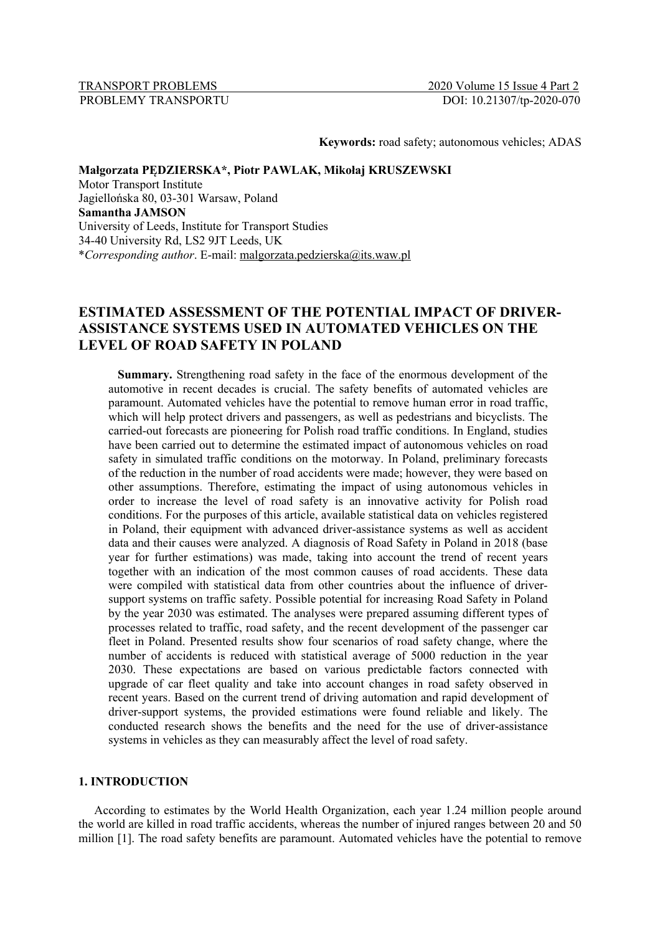TRANSPORT PROBLEMS 2020 Volume 15 Issue 4 Part 2

**Keywords:** road safety; autonomous vehicles; ADAS

# **Małgorzata PĘDZIERSKA\*, Piotr PAWLAK, Mikołaj KRUSZEWSKI**

Motor Transport Institute Jagiellońska 80, 03-301 Warsaw, Poland **Samantha JAMSON** University of Leeds, Institute for Transport Studies 34-40 University Rd, LS2 9JT Leeds, UK \**Corresponding author*. E-mail: malgorzata.pedzierska@its.waw.pl

# **ESTIMATED ASSESSMENT OF THE POTENTIAL IMPACT OF DRIVER-ASSISTANCE SYSTEMS USED IN AUTOMATED VEHICLES ON THE LEVEL OF ROAD SAFETY IN POLAND**

**Summary.** Strengthening road safety in the face of the enormous development of the automotive in recent decades is crucial. The safety benefits of automated vehicles are paramount. Automated vehicles have the potential to remove human error in road traffic, which will help protect drivers and passengers, as well as pedestrians and bicyclists. The carried-out forecasts are pioneering for Polish road traffic conditions. In England, studies have been carried out to determine the estimated impact of autonomous vehicles on road safety in simulated traffic conditions on the motorway. In Poland, preliminary forecasts of the reduction in the number of road accidents were made; however, they were based on other assumptions. Therefore, estimating the impact of using autonomous vehicles in order to increase the level of road safety is an innovative activity for Polish road conditions. For the purposes of this article, available statistical data on vehicles registered in Poland, their equipment with advanced driver-assistance systems as well as accident data and their causes were analyzed. A diagnosis of Road Safety in Poland in 2018 (base year for further estimations) was made, taking into account the trend of recent years together with an indication of the most common causes of road accidents. These data were compiled with statistical data from other countries about the influence of driversupport systems on traffic safety. Possible potential for increasing Road Safety in Poland by the year 2030 was estimated. The analyses were prepared assuming different types of processes related to traffic, road safety, and the recent development of the passenger car fleet in Poland. Presented results show four scenarios of road safety change, where the number of accidents is reduced with statistical average of 5000 reduction in the year 2030. These expectations are based on various predictable factors connected with upgrade of car fleet quality and take into account changes in road safety observed in recent years. Based on the current trend of driving automation and rapid development of driver-support systems, the provided estimations were found reliable and likely. The conducted research shows the benefits and the need for the use of driver-assistance systems in vehicles as they can measurably affect the level of road safety.

## **1. INTRODUCTION**

According to estimates by the World Health Organization, each year 1.24 million people around the world are killed in road traffic accidents, whereas the number of injured ranges between 20 and 50 million [1]. The road safety benefits are paramount. Automated vehicles have the potential to remove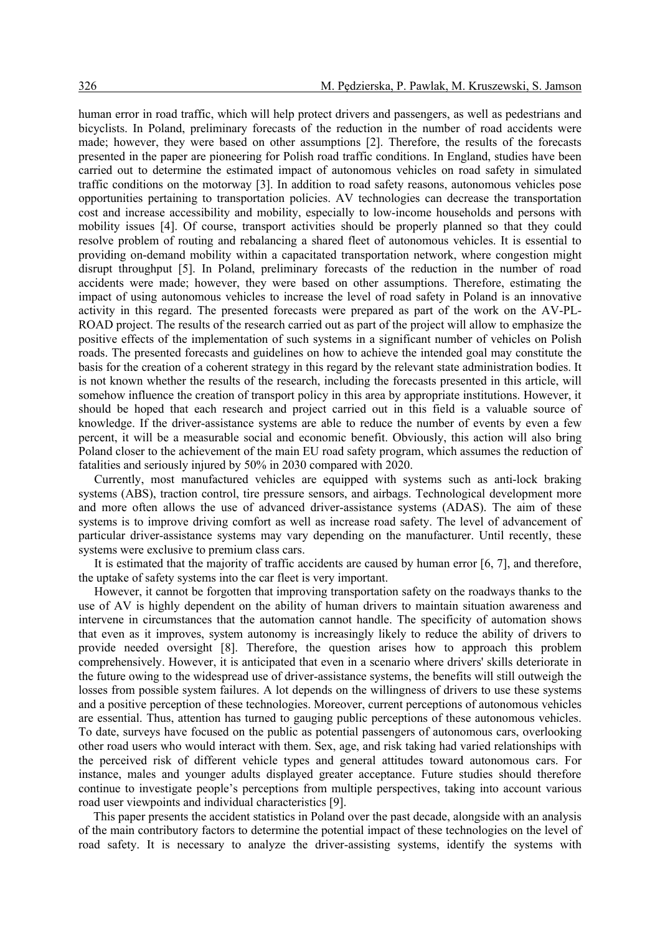human error in road traffic, which will help protect drivers and passengers, as well as pedestrians and bicyclists. In Poland, preliminary forecasts of the reduction in the number of road accidents were made; however, they were based on other assumptions [2]. Therefore, the results of the forecasts presented in the paper are pioneering for Polish road traffic conditions. In England, studies have been carried out to determine the estimated impact of autonomous vehicles on road safety in simulated traffic conditions on the motorway [3]. In addition to road safety reasons, autonomous vehicles pose opportunities pertaining to transportation policies. AV technologies can decrease the transportation cost and increase accessibility and mobility, especially to low-income households and persons with mobility issues [4]. Of course, transport activities should be properly planned so that they could resolve problem of routing and rebalancing a shared fleet of autonomous vehicles. It is essential to providing on-demand mobility within a capacitated transportation network, where congestion might disrupt throughput [5]. In Poland, preliminary forecasts of the reduction in the number of road accidents were made; however, they were based on other assumptions. Therefore, estimating the impact of using autonomous vehicles to increase the level of road safety in Poland is an innovative activity in this regard. The presented forecasts were prepared as part of the work on the AV-PL-ROAD project. The results of the research carried out as part of the project will allow to emphasize the positive effects of the implementation of such systems in a significant number of vehicles on Polish roads. The presented forecasts and guidelines on how to achieve the intended goal may constitute the basis for the creation of a coherent strategy in this regard by the relevant state administration bodies. It is not known whether the results of the research, including the forecasts presented in this article, will somehow influence the creation of transport policy in this area by appropriate institutions. However, it should be hoped that each research and project carried out in this field is a valuable source of knowledge. If the driver-assistance systems are able to reduce the number of events by even a few percent, it will be a measurable social and economic benefit. Obviously, this action will also bring Poland closer to the achievement of the main EU road safety program, which assumes the reduction of fatalities and seriously injured by 50% in 2030 compared with 2020.

Currently, most manufactured vehicles are equipped with systems such as anti-lock braking systems (ABS), traction control, tire pressure sensors, and airbags. Technological development more and more often allows the use of advanced driver-assistance systems (ADAS). The aim of these systems is to improve driving comfort as well as increase road safety. The level of advancement of particular driver-assistance systems may vary depending on the manufacturer. Until recently, these systems were exclusive to premium class cars.

It is estimated that the majority of traffic accidents are caused by human error [6, 7], and therefore, the uptake of safety systems into the car fleet is very important.

However, it cannot be forgotten that improving transportation safety on the roadways thanks to the use of AV is highly dependent on the ability of human drivers to maintain situation awareness and intervene in circumstances that the automation cannot handle. The specificity of automation shows that even as it improves, system autonomy is increasingly likely to reduce the ability of drivers to provide needed oversight [8]. Therefore, the question arises how to approach this problem comprehensively. However, it is anticipated that even in a scenario where drivers' skills deteriorate in the future owing to the widespread use of driver-assistance systems, the benefits will still outweigh the losses from possible system failures. A lot depends on the willingness of drivers to use these systems and a positive perception of these technologies. Moreover, current perceptions of autonomous vehicles are essential. Thus, attention has turned to gauging public perceptions of these autonomous vehicles. To date, surveys have focused on the public as potential passengers of autonomous cars, overlooking other road users who would interact with them. Sex, age, and risk taking had varied relationships with the perceived risk of different vehicle types and general attitudes toward autonomous cars. For instance, males and younger adults displayed greater acceptance. Future studies should therefore continue to investigate people's perceptions from multiple perspectives, taking into account various road user viewpoints and individual characteristics [9].

This paper presents the accident statistics in Poland over the past decade, alongside with an analysis of the main contributory factors to determine the potential impact of these technologies on the level of road safety. It is necessary to analyze the driver-assisting systems, identify the systems with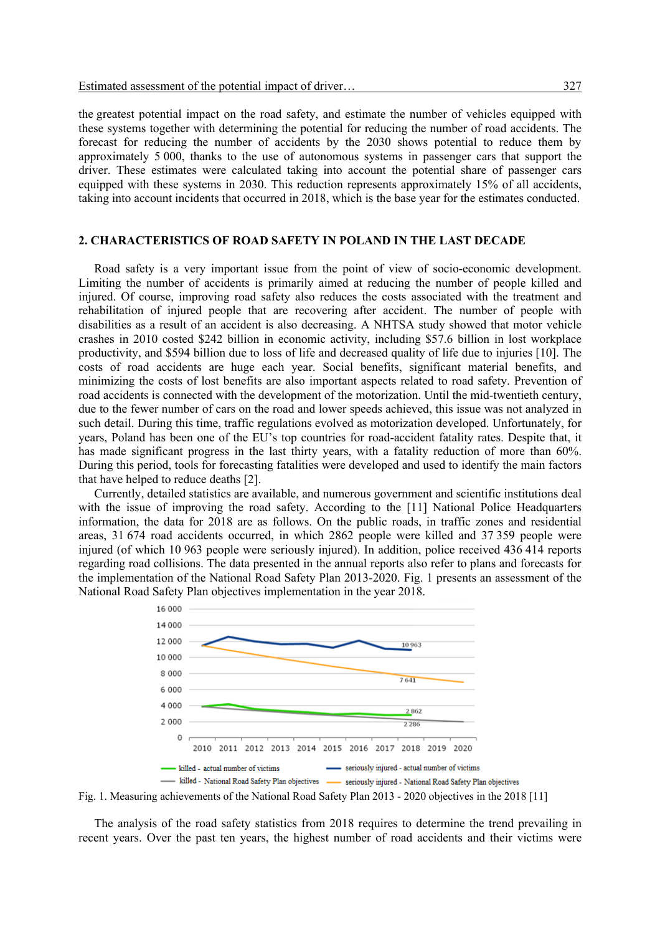the greatest potential impact on the road safety, and estimate the number of vehicles equipped with these systems together with determining the potential for reducing the number of road accidents. The forecast for reducing the number of accidents by the 2030 shows potential to reduce them by approximately 5 000, thanks to the use of autonomous systems in passenger cars that support the driver. These estimates were calculated taking into account the potential share of passenger cars equipped with these systems in 2030. This reduction represents approximately 15% of all accidents, taking into account incidents that occurred in 2018, which is the base year for the estimates conducted.

# **2. CHARACTERISTICS OF ROAD SAFETY IN POLAND IN THE LAST DECADE**

Road safety is a very important issue from the point of view of socio-economic development. Limiting the number of accidents is primarily aimed at reducing the number of people killed and injured. Of course, improving road safety also reduces the costs associated with the treatment and rehabilitation of injured people that are recovering after accident. The number of people with disabilities as a result of an accident is also decreasing. A NHTSA study showed that motor vehicle crashes in 2010 costed \$242 billion in economic activity, including \$57.6 billion in lost workplace productivity, and \$594 billion due to loss of life and decreased quality of life due to injuries [10]. The costs of road accidents are huge each year. Social benefits, significant material benefits, and minimizing the costs of lost benefits are also important aspects related to road safety. Prevention of road accidents is connected with the development of the motorization. Until the mid-twentieth century, due to the fewer number of cars on the road and lower speeds achieved, this issue was not analyzed in such detail. During this time, traffic regulations evolved as motorization developed. Unfortunately, for years, Poland has been one of the EU's top countries for road-accident fatality rates. Despite that, it has made significant progress in the last thirty years, with a fatality reduction of more than 60%. During this period, tools for forecasting fatalities were developed and used to identify the main factors that have helped to reduce deaths [2].

Currently, detailed statistics are available, and numerous government and scientific institutions deal with the issue of improving the road safety. According to the [11] National Police Headquarters information, the data for 2018 are as follows. On the public roads, in traffic zones and residential areas, 31 674 road accidents occurred, in which 2862 people were killed and 37 359 people were injured (of which 10 963 people were seriously injured). In addition, police received 436 414 reports regarding road collisions. The data presented in the annual reports also refer to plans and forecasts for the implementation of the National Road Safety Plan 2013-2020. Fig. 1 presents an assessment of the National Road Safety Plan objectives implementation in the year 2018.



Fig. 1. Measuring achievements of the National Road Safety Plan 2013 - 2020 objectives in the 2018 [11]

The analysis of the road safety statistics from 2018 requires to determine the trend prevailing in recent years. Over the past ten years, the highest number of road accidents and their victims were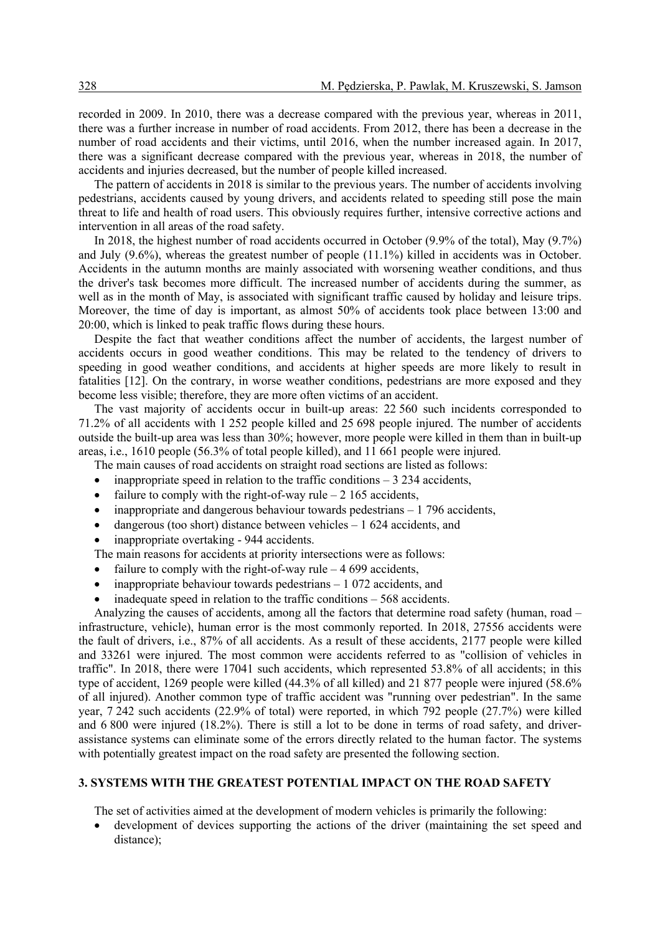recorded in 2009. In 2010, there was a decrease compared with the previous year, whereas in 2011, there was a further increase in number of road accidents. From 2012, there has been a decrease in the number of road accidents and their victims, until 2016, when the number increased again. In 2017, there was a significant decrease compared with the previous year, whereas in 2018, the number of accidents and injuries decreased, but the number of people killed increased.

The pattern of accidents in 2018 is similar to the previous years. The number of accidents involving pedestrians, accidents caused by young drivers, and accidents related to speeding still pose the main threat to life and health of road users. This obviously requires further, intensive corrective actions and intervention in all areas of the road safety.

In 2018, the highest number of road accidents occurred in October (9.9% of the total), May (9.7%) and July (9.6%), whereas the greatest number of people (11.1%) killed in accidents was in October. Accidents in the autumn months are mainly associated with worsening weather conditions, and thus the driver's task becomes more difficult. The increased number of accidents during the summer, as well as in the month of May, is associated with significant traffic caused by holiday and leisure trips. Moreover, the time of day is important, as almost 50% of accidents took place between 13:00 and 20:00, which is linked to peak traffic flows during these hours.

Despite the fact that weather conditions affect the number of accidents, the largest number of accidents occurs in good weather conditions. This may be related to the tendency of drivers to speeding in good weather conditions, and accidents at higher speeds are more likely to result in fatalities [12]. On the contrary, in worse weather conditions, pedestrians are more exposed and they become less visible; therefore, they are more often victims of an accident.

The vast majority of accidents occur in built-up areas: 22 560 such incidents corresponded to 71.2% of all accidents with 1 252 people killed and 25 698 people injured. The number of accidents outside the built-up area was less than 30%; however, more people were killed in them than in built-up areas, i.e., 1610 people (56.3% of total people killed), and 11 661 people were injured.

The main causes of road accidents on straight road sections are listed as follows:

- inappropriate speed in relation to the traffic conditions  $-3$  234 accidents,
- failure to comply with the right-of-way rule  $-2$  165 accidents,
- inappropriate and dangerous behaviour towards pedestrians  $-1$  796 accidents,
- dangerous (too short) distance between vehicles  $-1624$  accidents, and
- inappropriate overtaking 944 accidents.

The main reasons for accidents at priority intersections were as follows:

- failure to comply with the right-of-way rule  $-4699$  accidents,
- inappropriate behaviour towards pedestrians  $-1072$  accidents, and
- inadequate speed in relation to the traffic conditions  $-568$  accidents.

Analyzing the causes of accidents, among all the factors that determine road safety (human, road – infrastructure, vehicle), human error is the most commonly reported. In 2018, 27556 accidents were the fault of drivers, i.e., 87% of all accidents. As a result of these accidents, 2177 people were killed and 33261 were injured. The most common were accidents referred to as "collision of vehicles in traffic". In 2018, there were 17041 such accidents, which represented 53.8% of all accidents; in this type of accident, 1269 people were killed (44.3% of all killed) and 21 877 people were injured (58.6% of all injured). Another common type of traffic accident was "running over pedestrian". In the same year, 7 242 such accidents (22.9% of total) were reported, in which 792 people (27.7%) were killed and 6 800 were injured (18.2%). There is still a lot to be done in terms of road safety, and driverassistance systems can eliminate some of the errors directly related to the human factor. The systems with potentially greatest impact on the road safety are presented the following section.

# **3. SYSTEMS WITH THE GREATEST POTENTIAL IMPACT ON THE ROAD SAFETY**

The set of activities aimed at the development of modern vehicles is primarily the following:

development of devices supporting the actions of the driver (maintaining the set speed and distance);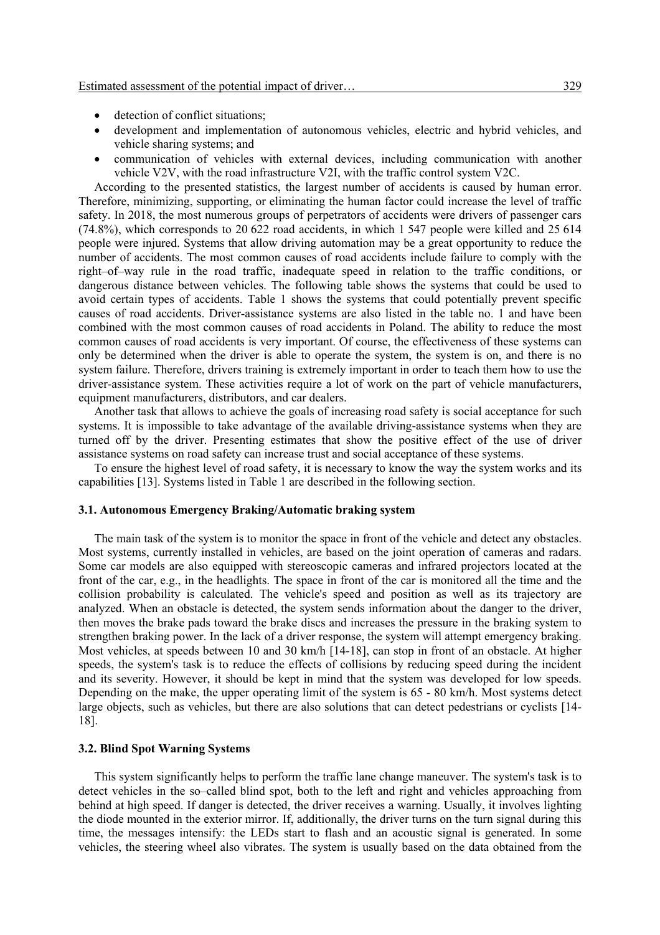- detection of conflict situations;
- development and implementation of autonomous vehicles, electric and hybrid vehicles, and vehicle sharing systems; and
- communication of vehicles with external devices, including communication with another vehicle V2V, with the road infrastructure V2I, with the traffic control system V2C.

According to the presented statistics, the largest number of accidents is caused by human error. Therefore, minimizing, supporting, or eliminating the human factor could increase the level of traffic safety. In 2018, the most numerous groups of perpetrators of accidents were drivers of passenger cars (74.8%), which corresponds to 20 622 road accidents, in which 1 547 people were killed and 25 614 people were injured. Systems that allow driving automation may be a great opportunity to reduce the number of accidents. The most common causes of road accidents include failure to comply with the right–of–way rule in the road traffic, inadequate speed in relation to the traffic conditions, or dangerous distance between vehicles. The following table shows the systems that could be used to avoid certain types of accidents. Table 1 shows the systems that could potentially prevent specific causes of road accidents. Driver-assistance systems are also listed in the table no. 1 and have been combined with the most common causes of road accidents in Poland. The ability to reduce the most common causes of road accidents is very important. Of course, the effectiveness of these systems can only be determined when the driver is able to operate the system, the system is on, and there is no system failure. Therefore, drivers training is extremely important in order to teach them how to use the driver-assistance system. These activities require a lot of work on the part of vehicle manufacturers, equipment manufacturers, distributors, and car dealers.

Another task that allows to achieve the goals of increasing road safety is social acceptance for such systems. It is impossible to take advantage of the available driving-assistance systems when they are turned off by the driver. Presenting estimates that show the positive effect of the use of driver assistance systems on road safety can increase trust and social acceptance of these systems.

To ensure the highest level of road safety, it is necessary to know the way the system works and its capabilities [13]. Systems listed in Table 1 are described in the following section.

#### **3.1. Autonomous Emergency Braking/Automatic braking system**

The main task of the system is to monitor the space in front of the vehicle and detect any obstacles. Most systems, currently installed in vehicles, are based on the joint operation of cameras and radars. Some car models are also equipped with stereoscopic cameras and infrared projectors located at the front of the car, e.g., in the headlights. The space in front of the car is monitored all the time and the collision probability is calculated. The vehicle's speed and position as well as its trajectory are analyzed. When an obstacle is detected, the system sends information about the danger to the driver, then moves the brake pads toward the brake discs and increases the pressure in the braking system to strengthen braking power. In the lack of a driver response, the system will attempt emergency braking. Most vehicles, at speeds between 10 and 30 km/h [14-18], can stop in front of an obstacle. At higher speeds, the system's task is to reduce the effects of collisions by reducing speed during the incident and its severity. However, it should be kept in mind that the system was developed for low speeds. Depending on the make, the upper operating limit of the system is 65 - 80 km/h. Most systems detect large objects, such as vehicles, but there are also solutions that can detect pedestrians or cyclists [14- 18].

# **3.2. Blind Spot Warning Systems**

This system significantly helps to perform the traffic lane change maneuver. The system's task is to detect vehicles in the so–called blind spot, both to the left and right and vehicles approaching from behind at high speed. If danger is detected, the driver receives a warning. Usually, it involves lighting the diode mounted in the exterior mirror. If, additionally, the driver turns on the turn signal during this time, the messages intensify: the LEDs start to flash and an acoustic signal is generated. In some vehicles, the steering wheel also vibrates. The system is usually based on the data obtained from the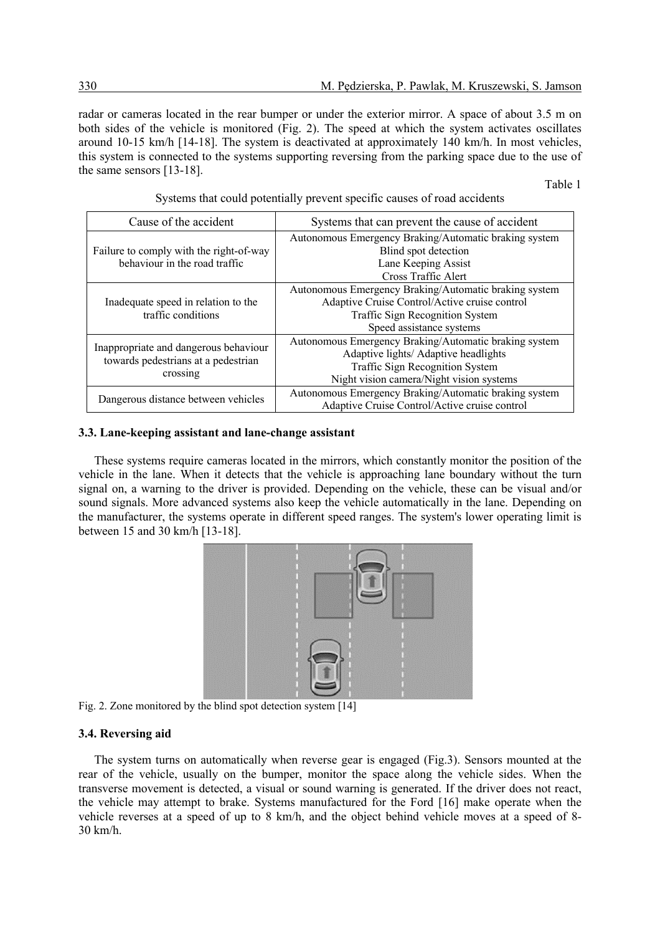radar or cameras located in the rear bumper or under the exterior mirror. A space of about 3.5 m on both sides of the vehicle is monitored (Fig. 2). The speed at which the system activates oscillates around 10-15 km/h [14-18]. The system is deactivated at approximately 140 km/h. In most vehicles, this system is connected to the systems supporting reversing from the parking space due to the use of the same sensors [13-18].

Table 1

| Cause of the accident                                                                    | Systems that can prevent the cause of accident                                                                                                                               |  |  |
|------------------------------------------------------------------------------------------|------------------------------------------------------------------------------------------------------------------------------------------------------------------------------|--|--|
| Failure to comply with the right-of-way<br>behaviour in the road traffic                 | Autonomous Emergency Braking/Automatic braking system<br>Blind spot detection<br>Lane Keeping Assist<br>Cross Traffic Alert                                                  |  |  |
| Inadequate speed in relation to the<br>traffic conditions                                | Autonomous Emergency Braking/Automatic braking system<br>Adaptive Cruise Control/Active cruise control<br><b>Traffic Sign Recognition System</b><br>Speed assistance systems |  |  |
| Inappropriate and dangerous behaviour<br>towards pedestrians at a pedestrian<br>crossing | Autonomous Emergency Braking/Automatic braking system<br>Adaptive lights/ Adaptive headlights<br>Traffic Sign Recognition System<br>Night vision camera/Night vision systems |  |  |
| Dangerous distance between vehicles                                                      | Autonomous Emergency Braking/Automatic braking system<br>Adaptive Cruise Control/Active cruise control                                                                       |  |  |

Systems that could potentially prevent specific causes of road accidents

### **3.3. Lane-keeping assistant and lane-change assistant**

These systems require cameras located in the mirrors, which constantly monitor the position of the vehicle in the lane. When it detects that the vehicle is approaching lane boundary without the turn signal on, a warning to the driver is provided. Depending on the vehicle, these can be visual and/or sound signals. More advanced systems also keep the vehicle automatically in the lane. Depending on the manufacturer, the systems operate in different speed ranges. The system's lower operating limit is between 15 and 30 km/h [13-18].



Fig. 2. Zone monitored by the blind spot detection system [14]

### **3.4. Reversing aid**

The system turns on automatically when reverse gear is engaged (Fig.3). Sensors mounted at the rear of the vehicle, usually on the bumper, monitor the space along the vehicle sides. When the transverse movement is detected, a visual or sound warning is generated. If the driver does not react, the vehicle may attempt to brake. Systems manufactured for the Ford [16] make operate when the vehicle reverses at a speed of up to 8 km/h, and the object behind vehicle moves at a speed of 8- 30 km/h.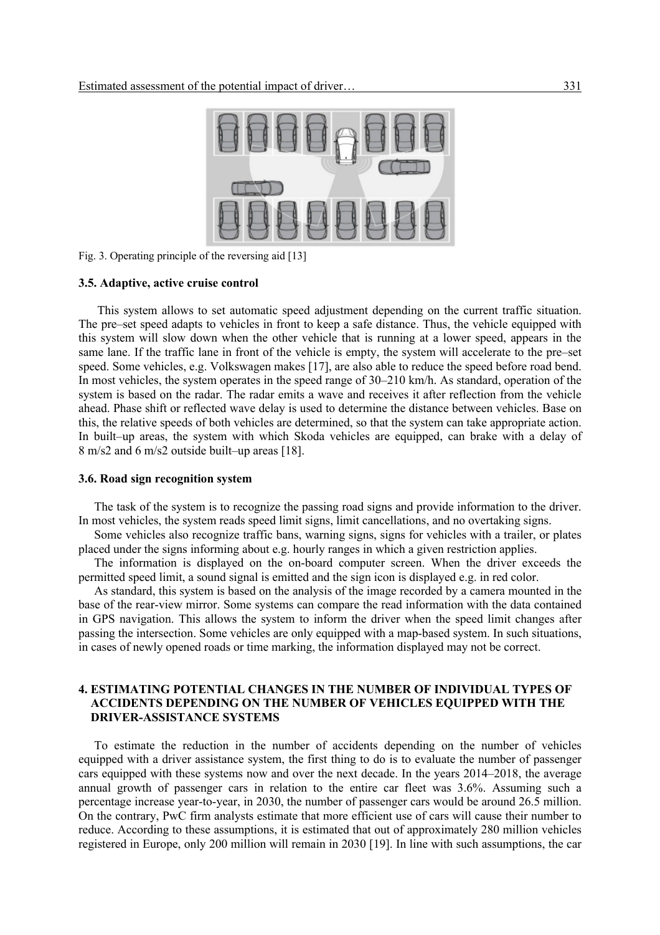

Fig. 3. Operating principle of the reversing aid [13]

#### **3.5. Adaptive, active cruise control**

This system allows to set automatic speed adjustment depending on the current traffic situation. The pre–set speed adapts to vehicles in front to keep a safe distance. Thus, the vehicle equipped with this system will slow down when the other vehicle that is running at a lower speed, appears in the same lane. If the traffic lane in front of the vehicle is empty, the system will accelerate to the pre–set speed. Some vehicles, e.g. Volkswagen makes [17], are also able to reduce the speed before road bend. In most vehicles, the system operates in the speed range of 30–210 km/h. As standard, operation of the system is based on the radar. The radar emits a wave and receives it after reflection from the vehicle ahead. Phase shift or reflected wave delay is used to determine the distance between vehicles. Base on this, the relative speeds of both vehicles are determined, so that the system can take appropriate action. In built–up areas, the system with which Skoda vehicles are equipped, can brake with a delay of 8 m/s2 and 6 m/s2 outside built–up areas [18].

#### **3.6. Road sign recognition system**

The task of the system is to recognize the passing road signs and provide information to the driver. In most vehicles, the system reads speed limit signs, limit cancellations, and no overtaking signs.

Some vehicles also recognize traffic bans, warning signs, signs for vehicles with a trailer, or plates placed under the signs informing about e.g. hourly ranges in which a given restriction applies.

The information is displayed on the on-board computer screen. When the driver exceeds the permitted speed limit, a sound signal is emitted and the sign icon is displayed e.g. in red color.

As standard, this system is based on the analysis of the image recorded by a camera mounted in the base of the rear-view mirror. Some systems can compare the read information with the data contained in GPS navigation. This allows the system to inform the driver when the speed limit changes after passing the intersection. Some vehicles are only equipped with a map-based system. In such situations, in cases of newly opened roads or time marking, the information displayed may not be correct.

## **4. ESTIMATING POTENTIAL CHANGES IN THE NUMBER OF INDIVIDUAL TYPES OF ACCIDENTS DEPENDING ON THE NUMBER OF VEHICLES EQUIPPED WITH THE DRIVER-ASSISTANCE SYSTEMS**

To estimate the reduction in the number of accidents depending on the number of vehicles equipped with a driver assistance system, the first thing to do is to evaluate the number of passenger cars equipped with these systems now and over the next decade. In the years 2014–2018, the average annual growth of passenger cars in relation to the entire car fleet was 3.6%. Assuming such a percentage increase year-to-year, in 2030, the number of passenger cars would be around 26.5 million. On the contrary, PwC firm analysts estimate that more efficient use of cars will cause their number to reduce. According to these assumptions, it is estimated that out of approximately 280 million vehicles registered in Europe, only 200 million will remain in 2030 [19]. In line with such assumptions, the car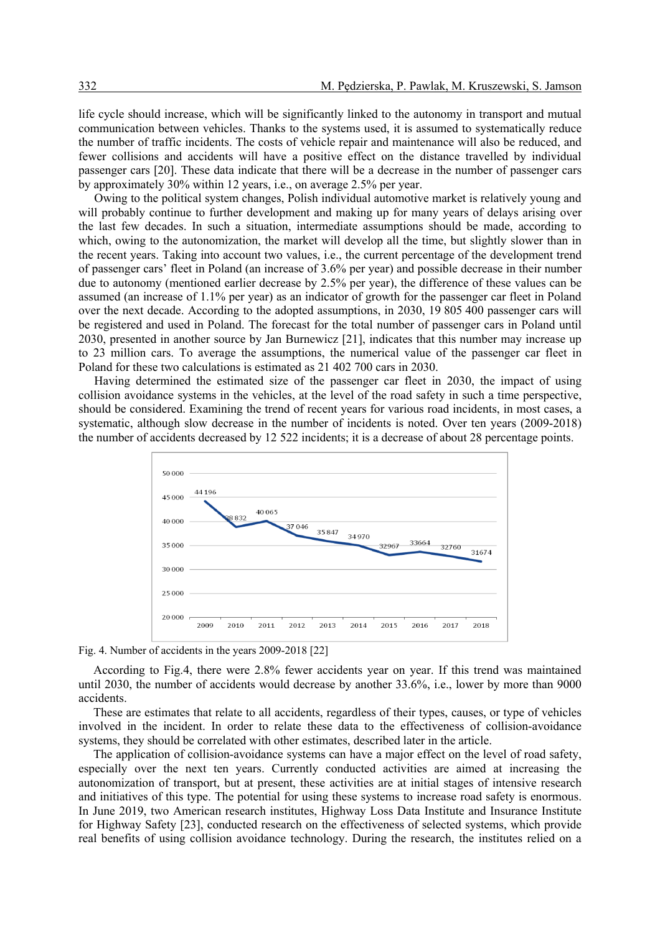life cycle should increase, which will be significantly linked to the autonomy in transport and mutual communication between vehicles. Thanks to the systems used, it is assumed to systematically reduce the number of traffic incidents. The costs of vehicle repair and maintenance will also be reduced, and fewer collisions and accidents will have a positive effect on the distance travelled by individual passenger cars [20]. These data indicate that there will be a decrease in the number of passenger cars by approximately 30% within 12 years, i.e., on average 2.5% per year.

Owing to the political system changes, Polish individual automotive market is relatively young and will probably continue to further development and making up for many years of delays arising over the last few decades. In such a situation, intermediate assumptions should be made, according to which, owing to the autonomization, the market will develop all the time, but slightly slower than in the recent years. Taking into account two values, i.e., the current percentage of the development trend of passenger cars' fleet in Poland (an increase of 3.6% per year) and possible decrease in their number due to autonomy (mentioned earlier decrease by 2.5% per year), the difference of these values can be assumed (an increase of 1.1% per year) as an indicator of growth for the passenger car fleet in Poland over the next decade. According to the adopted assumptions, in 2030, 19 805 400 passenger cars will be registered and used in Poland. The forecast for the total number of passenger cars in Poland until 2030, presented in another source by Jan Burnewicz [21], indicates that this number may increase up to 23 million cars. To average the assumptions, the numerical value of the passenger car fleet in Poland for these two calculations is estimated as 21 402 700 cars in 2030.

Having determined the estimated size of the passenger car fleet in 2030, the impact of using collision avoidance systems in the vehicles, at the level of the road safety in such a time perspective, should be considered. Examining the trend of recent years for various road incidents, in most cases, a systematic, although slow decrease in the number of incidents is noted. Over ten years (2009-2018) the number of accidents decreased by 12 522 incidents; it is a decrease of about 28 percentage points.



Fig. 4. Number of accidents in the years 2009-2018 [22]

According to Fig.4, there were 2.8% fewer accidents year on year. If this trend was maintained until 2030, the number of accidents would decrease by another 33.6%, i.e., lower by more than 9000 accidents.

These are estimates that relate to all accidents, regardless of their types, causes, or type of vehicles involved in the incident. In order to relate these data to the effectiveness of collision-avoidance systems, they should be correlated with other estimates, described later in the article.

The application of collision-avoidance systems can have a major effect on the level of road safety, especially over the next ten years. Currently conducted activities are aimed at increasing the autonomization of transport, but at present, these activities are at initial stages of intensive research and initiatives of this type. The potential for using these systems to increase road safety is enormous. In June 2019, two American research institutes, Highway Loss Data Institute and Insurance Institute for Highway Safety [23], conducted research on the effectiveness of selected systems, which provide real benefits of using collision avoidance technology. During the research, the institutes relied on a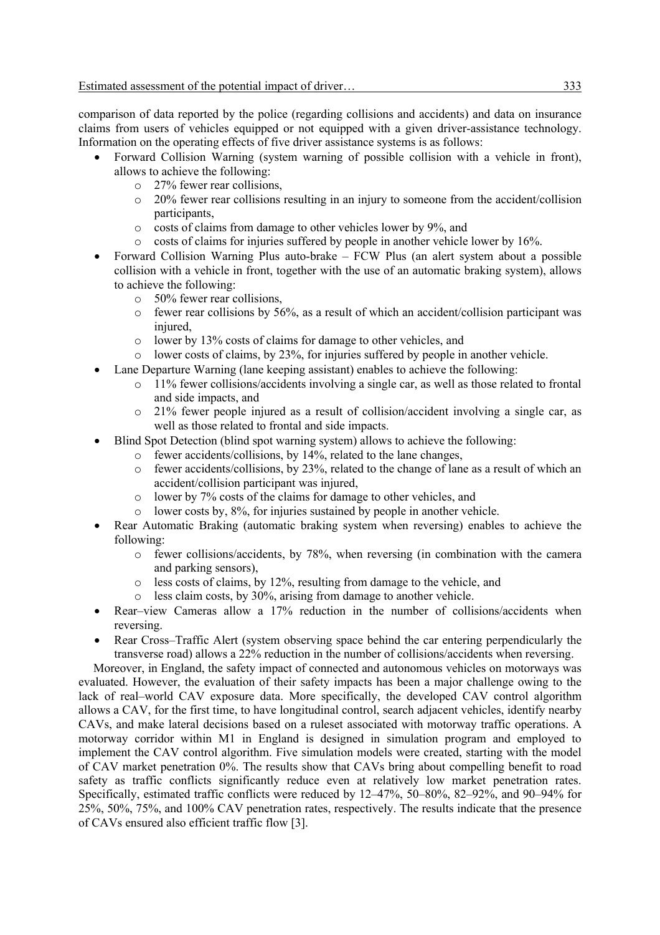comparison of data reported by the police (regarding collisions and accidents) and data on insurance claims from users of vehicles equipped or not equipped with a given driver-assistance technology. Information on the operating effects of five driver assistance systems is as follows:

- Forward Collision Warning (system warning of possible collision with a vehicle in front), allows to achieve the following:
	- o 27% fewer rear collisions,
	- o 20% fewer rear collisions resulting in an injury to someone from the accident/collision participants,
	- o costs of claims from damage to other vehicles lower by 9%, and
	- o costs of claims for injuries suffered by people in another vehicle lower by 16%.
- Forward Collision Warning Plus auto-brake FCW Plus (an alert system about a possible collision with a vehicle in front, together with the use of an automatic braking system), allows to achieve the following:
	- o 50% fewer rear collisions,
	- $\circ$  fewer rear collisions by 56%, as a result of which an accident/collision participant was injured.
	- o lower by 13% costs of claims for damage to other vehicles, and
	- o lower costs of claims, by 23%, for injuries suffered by people in another vehicle.
- Lane Departure Warning (lane keeping assistant) enables to achieve the following:
	- $\circ$  11% fewer collisions/accidents involving a single car, as well as those related to frontal and side impacts, and
	- $\circ$  21% fewer people injured as a result of collision/accident involving a single car, as well as those related to frontal and side impacts.
- Blind Spot Detection (blind spot warning system) allows to achieve the following:
	- o fewer accidents/collisions, by 14%, related to the lane changes,
	- o fewer accidents/collisions, by 23%, related to the change of lane as a result of which an accident/collision participant was injured,
	- o lower by 7% costs of the claims for damage to other vehicles, and
	- lower costs by, 8%, for injuries sustained by people in another vehicle.
- Rear Automatic Braking (automatic braking system when reversing) enables to achieve the following:
	- o fewer collisions/accidents, by 78%, when reversing (in combination with the camera and parking sensors),
	- o less costs of claims, by 12%, resulting from damage to the vehicle, and
	- o less claim costs, by 30%, arising from damage to another vehicle.
- Rear–view Cameras allow a 17% reduction in the number of collisions/accidents when reversing.
- Rear Cross–Traffic Alert (system observing space behind the car entering perpendicularly the transverse road) allows a 22% reduction in the number of collisions/accidents when reversing.

Moreover, in England, the safety impact of connected and autonomous vehicles on motorways was evaluated. However, the evaluation of their safety impacts has been a major challenge owing to the lack of real–world CAV exposure data. More specifically, the developed CAV control algorithm allows a CAV, for the first time, to have longitudinal control, search adjacent vehicles, identify nearby CAVs, and make lateral decisions based on a ruleset associated with motorway traffic operations. A motorway corridor within M1 in England is designed in simulation program and employed to implement the CAV control algorithm. Five simulation models were created, starting with the model of CAV market penetration 0%. The results show that CAVs bring about compelling benefit to road safety as traffic conflicts significantly reduce even at relatively low market penetration rates. Specifically, estimated traffic conflicts were reduced by 12–47%, 50–80%, 82–92%, and 90–94% for 25%, 50%, 75%, and 100% CAV penetration rates, respectively. The results indicate that the presence of CAVs ensured also efficient traffic flow [3].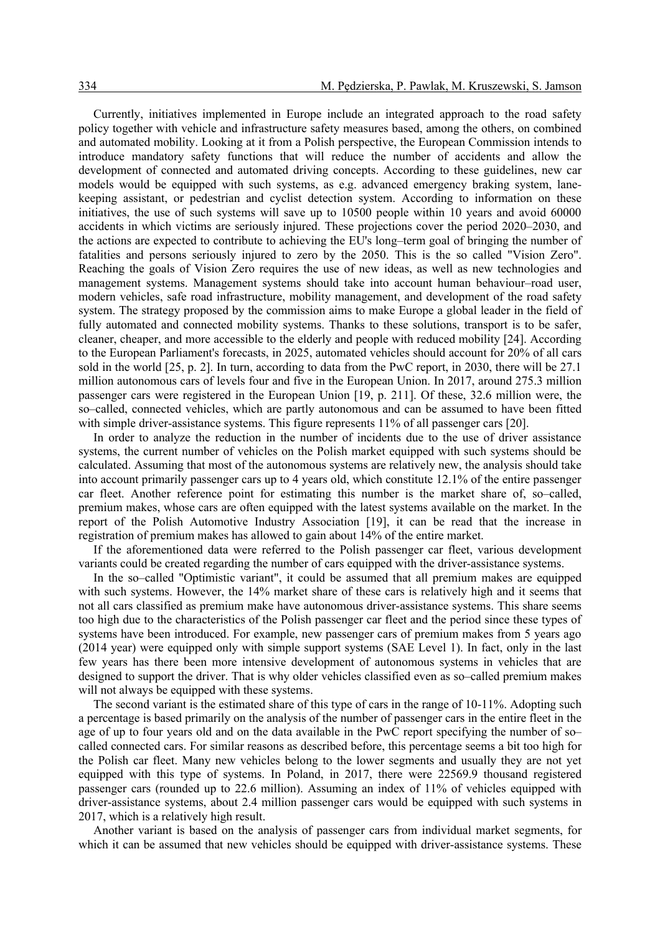Currently, initiatives implemented in Europe include an integrated approach to the road safety policy together with vehicle and infrastructure safety measures based, among the others, on combined and automated mobility. Looking at it from a Polish perspective, the European Commission intends to introduce mandatory safety functions that will reduce the number of accidents and allow the development of connected and automated driving concepts. According to these guidelines, new car models would be equipped with such systems, as e.g. advanced emergency braking system, lanekeeping assistant, or pedestrian and cyclist detection system. According to information on these initiatives, the use of such systems will save up to 10500 people within 10 years and avoid 60000 accidents in which victims are seriously injured. These projections cover the period 2020–2030, and the actions are expected to contribute to achieving the EU's long–term goal of bringing the number of fatalities and persons seriously injured to zero by the 2050. This is the so called "Vision Zero". Reaching the goals of Vision Zero requires the use of new ideas, as well as new technologies and management systems. Management systems should take into account human behaviour–road user, modern vehicles, safe road infrastructure, mobility management, and development of the road safety system. The strategy proposed by the commission aims to make Europe a global leader in the field of fully automated and connected mobility systems. Thanks to these solutions, transport is to be safer, cleaner, cheaper, and more accessible to the elderly and people with reduced mobility [24]. According to the European Parliament's forecasts, in 2025, automated vehicles should account for 20% of all cars sold in the world [25, p. 2]. In turn, according to data from the PwC report, in 2030, there will be 27.1 million autonomous cars of levels four and five in the European Union. In 2017, around 275.3 million passenger cars were registered in the European Union [19, p. 211]. Of these, 32.6 million were, the so–called, connected vehicles, which are partly autonomous and can be assumed to have been fitted with simple driver-assistance systems. This figure represents 11% of all passenger cars [20].

In order to analyze the reduction in the number of incidents due to the use of driver assistance systems, the current number of vehicles on the Polish market equipped with such systems should be calculated. Assuming that most of the autonomous systems are relatively new, the analysis should take into account primarily passenger cars up to 4 years old, which constitute 12.1% of the entire passenger car fleet. Another reference point for estimating this number is the market share of, so–called, premium makes, whose cars are often equipped with the latest systems available on the market. In the report of the Polish Automotive Industry Association [19], it can be read that the increase in registration of premium makes has allowed to gain about 14% of the entire market.

If the aforementioned data were referred to the Polish passenger car fleet, various development variants could be created regarding the number of cars equipped with the driver-assistance systems.

In the so–called "Optimistic variant", it could be assumed that all premium makes are equipped with such systems. However, the 14% market share of these cars is relatively high and it seems that not all cars classified as premium make have autonomous driver-assistance systems. This share seems too high due to the characteristics of the Polish passenger car fleet and the period since these types of systems have been introduced. For example, new passenger cars of premium makes from 5 years ago (2014 year) were equipped only with simple support systems (SAE Level 1). In fact, only in the last few years has there been more intensive development of autonomous systems in vehicles that are designed to support the driver. That is why older vehicles classified even as so–called premium makes will not always be equipped with these systems.

The second variant is the estimated share of this type of cars in the range of 10-11%. Adopting such a percentage is based primarily on the analysis of the number of passenger cars in the entire fleet in the age of up to four years old and on the data available in the PwC report specifying the number of so– called connected cars. For similar reasons as described before, this percentage seems a bit too high for the Polish car fleet. Many new vehicles belong to the lower segments and usually they are not yet equipped with this type of systems. In Poland, in 2017, there were 22569.9 thousand registered passenger cars (rounded up to 22.6 million). Assuming an index of 11% of vehicles equipped with driver-assistance systems, about 2.4 million passenger cars would be equipped with such systems in 2017, which is a relatively high result.

Another variant is based on the analysis of passenger cars from individual market segments, for which it can be assumed that new vehicles should be equipped with driver-assistance systems. These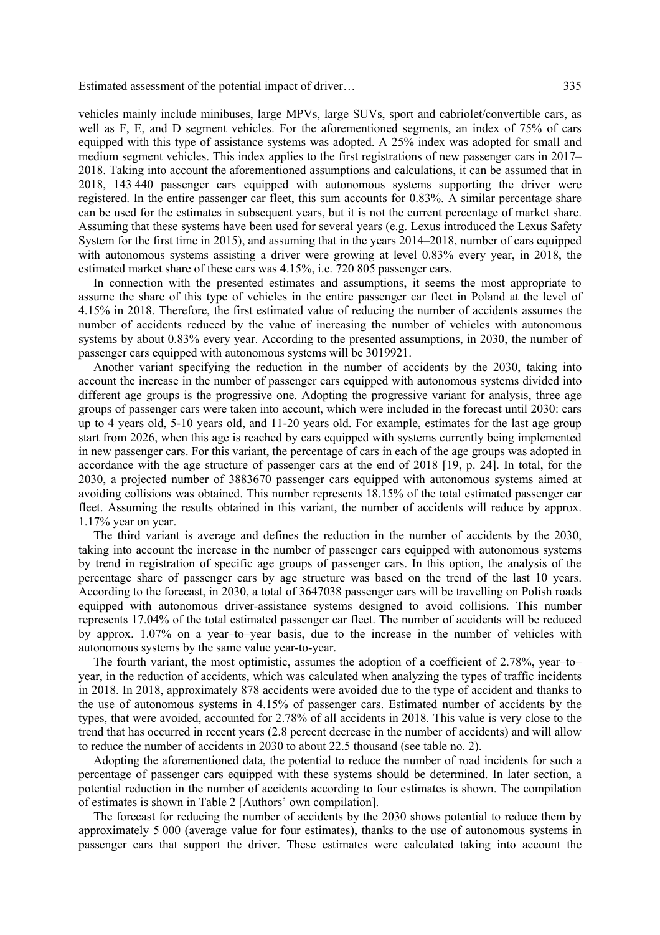vehicles mainly include minibuses, large MPVs, large SUVs, sport and cabriolet/convertible cars, as well as F, E, and D segment vehicles. For the aforementioned segments, an index of 75% of cars equipped with this type of assistance systems was adopted. A 25% index was adopted for small and medium segment vehicles. This index applies to the first registrations of new passenger cars in 2017– 2018. Taking into account the aforementioned assumptions and calculations, it can be assumed that in 2018, 143 440 passenger cars equipped with autonomous systems supporting the driver were registered. In the entire passenger car fleet, this sum accounts for 0.83%. A similar percentage share can be used for the estimates in subsequent years, but it is not the current percentage of market share. Assuming that these systems have been used for several years (e.g. Lexus introduced the Lexus Safety System for the first time in 2015), and assuming that in the years 2014–2018, number of cars equipped with autonomous systems assisting a driver were growing at level 0.83% every year, in 2018, the estimated market share of these cars was 4.15%, i.e. 720 805 passenger cars.

In connection with the presented estimates and assumptions, it seems the most appropriate to assume the share of this type of vehicles in the entire passenger car fleet in Poland at the level of 4.15% in 2018. Therefore, the first estimated value of reducing the number of accidents assumes the number of accidents reduced by the value of increasing the number of vehicles with autonomous systems by about 0.83% every year. According to the presented assumptions, in 2030, the number of passenger cars equipped with autonomous systems will be 3019921.

Another variant specifying the reduction in the number of accidents by the 2030, taking into account the increase in the number of passenger cars equipped with autonomous systems divided into different age groups is the progressive one. Adopting the progressive variant for analysis, three age groups of passenger cars were taken into account, which were included in the forecast until 2030: cars up to 4 years old, 5-10 years old, and 11-20 years old. For example, estimates for the last age group start from 2026, when this age is reached by cars equipped with systems currently being implemented in new passenger cars. For this variant, the percentage of cars in each of the age groups was adopted in accordance with the age structure of passenger cars at the end of 2018 [19, p. 24]. In total, for the 2030, a projected number of 3883670 passenger cars equipped with autonomous systems aimed at avoiding collisions was obtained. This number represents 18.15% of the total estimated passenger car fleet. Assuming the results obtained in this variant, the number of accidents will reduce by approx. 1.17% year on year.

The third variant is average and defines the reduction in the number of accidents by the 2030, taking into account the increase in the number of passenger cars equipped with autonomous systems by trend in registration of specific age groups of passenger cars. In this option, the analysis of the percentage share of passenger cars by age structure was based on the trend of the last 10 years. According to the forecast, in 2030, a total of 3647038 passenger cars will be travelling on Polish roads equipped with autonomous driver-assistance systems designed to avoid collisions. This number represents 17.04% of the total estimated passenger car fleet. The number of accidents will be reduced by approx. 1.07% on a year–to–year basis, due to the increase in the number of vehicles with autonomous systems by the same value year-to-year.

The fourth variant, the most optimistic, assumes the adoption of a coefficient of 2.78%, year–to– year, in the reduction of accidents, which was calculated when analyzing the types of traffic incidents in 2018. In 2018, approximately 878 accidents were avoided due to the type of accident and thanks to the use of autonomous systems in 4.15% of passenger cars. Estimated number of accidents by the types, that were avoided, accounted for 2.78% of all accidents in 2018. This value is very close to the trend that has occurred in recent years (2.8 percent decrease in the number of accidents) and will allow to reduce the number of accidents in 2030 to about 22.5 thousand (see table no. 2).

Adopting the aforementioned data, the potential to reduce the number of road incidents for such a percentage of passenger cars equipped with these systems should be determined. In later section, a potential reduction in the number of accidents according to four estimates is shown. The compilation of estimates is shown in Table 2 [Authors' own compilation].

The forecast for reducing the number of accidents by the 2030 shows potential to reduce them by approximately 5 000 (average value for four estimates), thanks to the use of autonomous systems in passenger cars that support the driver. These estimates were calculated taking into account the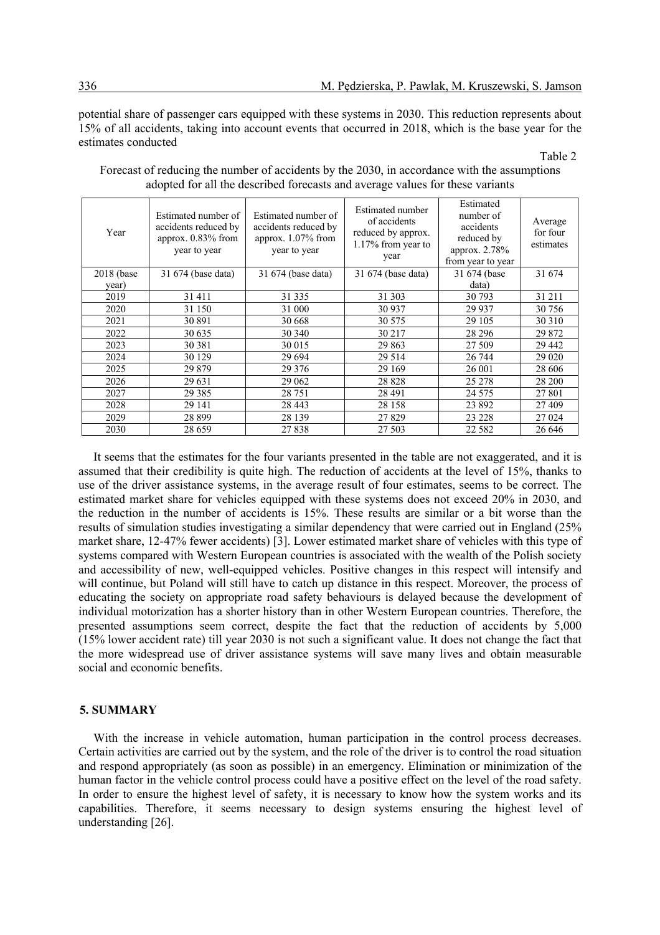potential share of passenger cars equipped with these systems in 2030. This reduction represents about 15% of all accidents, taking into account events that occurred in 2018, which is the base year for the estimates conducted

#### Table 2

| Year          | Estimated number of<br>accidents reduced by<br>approx. 0.83% from<br>year to year | Estimated number of<br>accidents reduced by<br>approx. $1.07\%$ from<br>year to year | Estimated number<br>of accidents<br>reduced by approx.<br>1.17% from year to<br>year | Estimated<br>number of<br>accidents<br>reduced by<br>approx. 2.78%<br>from year to year | Average<br>for four<br>estimates |
|---------------|-----------------------------------------------------------------------------------|--------------------------------------------------------------------------------------|--------------------------------------------------------------------------------------|-----------------------------------------------------------------------------------------|----------------------------------|
| $2018$ (base) | 31 674 (base data)                                                                | 31 674 (base data)                                                                   | 31 674 (base data)                                                                   | 31 674 (base                                                                            | 31 674                           |
| year)         |                                                                                   |                                                                                      |                                                                                      | data)                                                                                   |                                  |
| 2019          | 31 411                                                                            | 31 3 35                                                                              | 31 30 3                                                                              | 30 793                                                                                  | 31 211                           |
| 2020          | 31 150                                                                            | 31 000                                                                               | 30 937                                                                               | 29 9 37                                                                                 | 30 756                           |
| 2021          | 30 891                                                                            | 30 668                                                                               | 30 575                                                                               | 29 10 5                                                                                 | 30 310                           |
| 2022          | 30 635                                                                            | 30 340                                                                               | 30 217                                                                               | 28 29 6                                                                                 | 29 872                           |
| 2023          | 30 381                                                                            | 30 015                                                                               | 29 863                                                                               | 27 509                                                                                  | 29 442                           |
| 2024          | 30 1 29                                                                           | 29 6 94                                                                              | 29 5 14                                                                              | 26 744                                                                                  | 29 0 20                          |
| 2025          | 29 879                                                                            | 29 3 7 6                                                                             | 29 169                                                                               | 26 001                                                                                  | 28 606                           |
| 2026          | 29 631                                                                            | 29 062                                                                               | 28 8 28                                                                              | 25 278                                                                                  | 28 200                           |
| 2027          | 29 3 8 5                                                                          | 28 751                                                                               | 28 4 91                                                                              | 24 5 7 5                                                                                | 27 801                           |
| 2028          | 29 14 1                                                                           | 28 4 43                                                                              | 28 158                                                                               | 23 892                                                                                  | 27 409                           |
| 2029          | 28 8 9 9                                                                          | 28 139                                                                               | 27829                                                                                | 23 228                                                                                  | 27 024                           |
| 2030          | 28 6 5 9                                                                          | 27838                                                                                | 27 503                                                                               | 22 5 8 2                                                                                | 26 646                           |

Forecast of reducing the number of accidents by the 2030, in accordance with the assumptions adopted for all the described forecasts and average values for these variants

It seems that the estimates for the four variants presented in the table are not exaggerated, and it is assumed that their credibility is quite high. The reduction of accidents at the level of 15%, thanks to use of the driver assistance systems, in the average result of four estimates, seems to be correct. The estimated market share for vehicles equipped with these systems does not exceed 20% in 2030, and the reduction in the number of accidents is 15%. These results are similar or a bit worse than the results of simulation studies investigating a similar dependency that were carried out in England (25% market share, 12-47% fewer accidents) [3]. Lower estimated market share of vehicles with this type of systems compared with Western European countries is associated with the wealth of the Polish society and accessibility of new, well-equipped vehicles. Positive changes in this respect will intensify and will continue, but Poland will still have to catch up distance in this respect. Moreover, the process of educating the society on appropriate road safety behaviours is delayed because the development of individual motorization has a shorter history than in other Western European countries. Therefore, the presented assumptions seem correct, despite the fact that the reduction of accidents by 5,000 (15% lower accident rate) till year 2030 is not such a significant value. It does not change the fact that the more widespread use of driver assistance systems will save many lives and obtain measurable social and economic benefits.

## **5. SUMMARY**

With the increase in vehicle automation, human participation in the control process decreases. Certain activities are carried out by the system, and the role of the driver is to control the road situation and respond appropriately (as soon as possible) in an emergency. Elimination or minimization of the human factor in the vehicle control process could have a positive effect on the level of the road safety. In order to ensure the highest level of safety, it is necessary to know how the system works and its capabilities. Therefore, it seems necessary to design systems ensuring the highest level of understanding [26].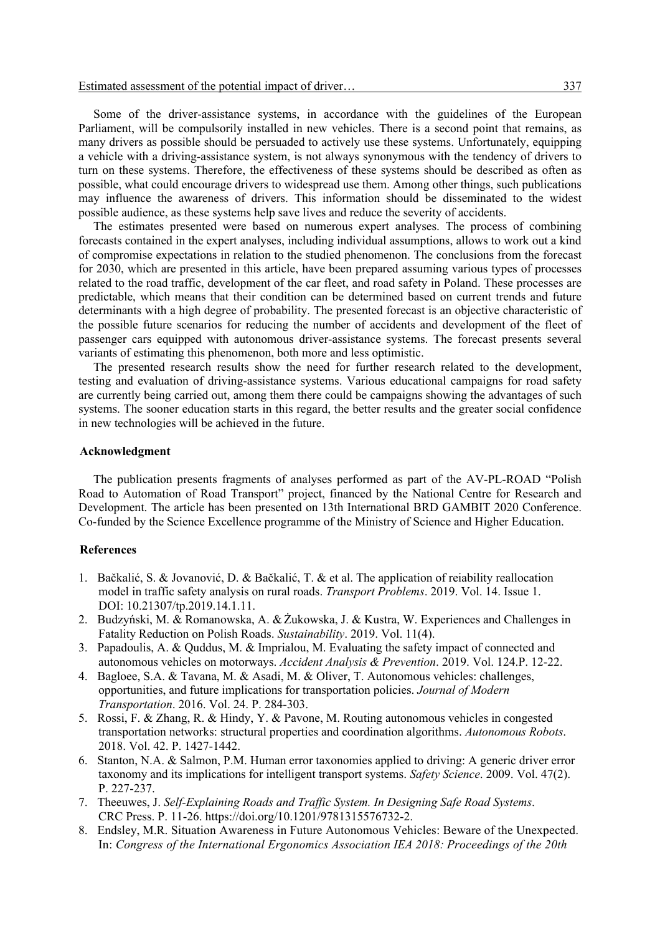Some of the driver-assistance systems, in accordance with the guidelines of the European Parliament, will be compulsorily installed in new vehicles. There is a second point that remains, as many drivers as possible should be persuaded to actively use these systems. Unfortunately, equipping a vehicle with a driving-assistance system, is not always synonymous with the tendency of drivers to turn on these systems. Therefore, the effectiveness of these systems should be described as often as possible, what could encourage drivers to widespread use them. Among other things, such publications may influence the awareness of drivers. This information should be disseminated to the widest possible audience, as these systems help save lives and reduce the severity of accidents.

The estimates presented were based on numerous expert analyses. The process of combining forecasts contained in the expert analyses, including individual assumptions, allows to work out a kind of compromise expectations in relation to the studied phenomenon. The conclusions from the forecast for 2030, which are presented in this article, have been prepared assuming various types of processes related to the road traffic, development of the car fleet, and road safety in Poland. These processes are predictable, which means that their condition can be determined based on current trends and future determinants with a high degree of probability. The presented forecast is an objective characteristic of the possible future scenarios for reducing the number of accidents and development of the fleet of passenger cars equipped with autonomous driver-assistance systems. The forecast presents several variants of estimating this phenomenon, both more and less optimistic.

The presented research results show the need for further research related to the development, testing and evaluation of driving-assistance systems. Various educational campaigns for road safety are currently being carried out, among them there could be campaigns showing the advantages of such systems. The sooner education starts in this regard, the better results and the greater social confidence in new technologies will be achieved in the future.

#### **Acknowledgment**

The publication presents fragments of analyses performed as part of the AV-PL-ROAD "Polish Road to Automation of Road Transport" project, financed by the National Centre for Research and Development. The article has been presented on 13th International BRD GAMBIT 2020 Conference. Co-funded by the Science Excellence programme of the Ministry of Science and Higher Education.

## **References**

- 1. Bačkalić, S. & Jovanović, D. & Bačkalić, T. & et al. The application of reiability reallocation model in traffic safety analysis on rural roads. *Transport Problems*. 2019. Vol. 14. Issue 1. DOI: 10.21307/tp.2019.14.1.11.
- 2. Budzyński, M. & Romanowska, A. & Żukowska, J. & Kustra, W. Experiences and Challenges in Fatality Reduction on Polish Roads. *Sustainability*. 2019. Vol. 11(4).
- 3. Papadoulis, A. & Quddus, M. & Imprialou, M. Evaluating the safety impact of connected and autonomous vehicles on motorways. *Accident Analysis & Prevention*. 2019. Vol. 124.P. 12-22.
- 4. Bagloee, S.A. & Tavana, M. & Asadi, M. & Oliver, T. Autonomous vehicles: challenges, opportunities, and future implications for transportation policies. *Journal of Modern Transportation*. 2016. Vol. 24. P. 284-303.
- 5. Rossi, F. & Zhang, R. & Hindy, Y. & Pavone, M. Routing autonomous vehicles in congested transportation networks: structural properties and coordination algorithms. *Autonomous Robots*. 2018. Vol. 42. P. 1427-1442.
- 6. Stanton, N.A. & Salmon, P.M. Human error taxonomies applied to driving: A generic driver error taxonomy and its implications for intelligent transport systems. *Safety Science*. 2009. Vol. 47(2). P. 227-237.
- 7. Theeuwes, J. *Self-Explaining Roads and Traffic System. In Designing Safe Road Systems*. CRC Press. P. 11-26. https://doi.org/10.1201/9781315576732-2.
- 8. Endsley, M.R. Situation Awareness in Future Autonomous Vehicles: Beware of the Unexpected. In: *Congress of the International Ergonomics Association IEA 2018: Proceedings of the 20th*